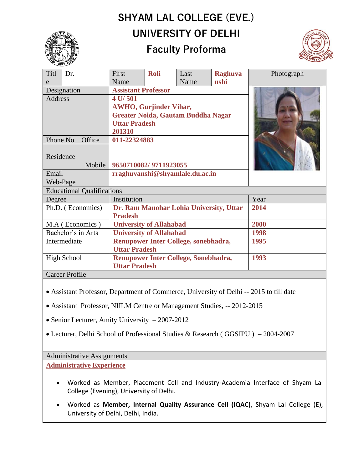# **SHYAM LAL COLLEGE (EVE.) UNIVERSITY OF DELHI**



## **Faculty Proforma**



| Titl                              | Dr. | First                                   | <b>Roli</b> | Last | <b>Raghuva</b> | Photograph |
|-----------------------------------|-----|-----------------------------------------|-------------|------|----------------|------------|
| e                                 |     | Name                                    |             | Name | nshi           |            |
| Designation                       |     | <b>Assistant Professor</b>              |             |      |                |            |
| <b>Address</b>                    |     | 4 U/501                                 |             |      |                |            |
|                                   |     | <b>AWHO, Gurjinder Vihar,</b>           |             |      |                |            |
|                                   |     | Greater Noida, Gautam Buddha Nagar      |             |      |                |            |
|                                   |     | <b>Uttar Pradesh</b>                    |             |      |                |            |
|                                   |     | 201310                                  |             |      |                |            |
| Phone No<br>Office                |     | 011-22324883                            |             |      |                |            |
|                                   |     |                                         |             |      |                |            |
| Residence                         |     |                                         |             |      |                |            |
| Mobile                            |     | 9650710082/9711923055                   |             |      |                |            |
| Email                             |     | rraghuvanshi@shyamlale.du.ac.in         |             |      |                |            |
| Web-Page                          |     |                                         |             |      |                |            |
| <b>Educational Qualifications</b> |     |                                         |             |      |                |            |
| Degree                            |     | Institution                             |             |      |                | Year       |
| Ph.D. (Economics)                 |     | Dr. Ram Manohar Lohia University, Uttar |             |      |                | 2014       |
|                                   |     | <b>Pradesh</b>                          |             |      |                |            |
| M.A (Economics)                   |     | <b>University of Allahabad</b>          |             |      |                | 2000       |
| Bachelor's in Arts                |     | <b>University of Allahabad</b>          |             |      |                | 1998       |
| Intermediate                      |     | Renupower Inter College, sonebhadra,    |             |      |                | 1995       |
|                                   |     | <b>Uttar Pradesh</b>                    |             |      |                |            |
| <b>High School</b>                |     | Renupower Inter College, Sonebhadra,    |             |      |                | 1993       |
|                                   |     | <b>Uttar Pradesh</b>                    |             |      |                |            |
| <b>Career Profile</b>             |     |                                         |             |      |                |            |

- Assistant Professor, Department of Commerce, University of Delhi -- 2015 to till date
- Assistant Professor, NIILM Centre or Management Studies, -- 2012-2015
- Senior Lecturer, Amity University 2007-2012
- Lecturer, Delhi School of Professional Studies & Research ( GGSIPU ) 2004-2007

## Administrative Assignments

**Administrative Experience**

- Worked as Member, Placement Cell and Industry-Academia Interface of Shyam Lal College (Evening), University of Delhi.
- Worked as **Member, Internal Quality Assurance Cell (IQAC)**, Shyam Lal College (E), University of Delhi, Delhi, India.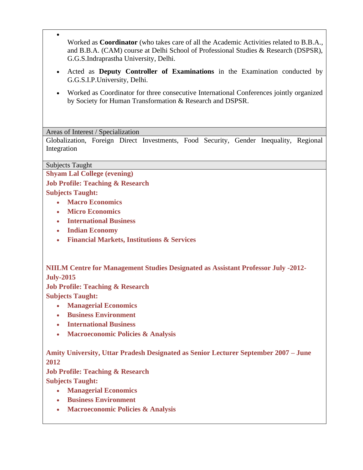- Worked as **Coordinator** (who takes care of all the Academic Activities related to B.B.A., and B.B.A. (CAM) course at Delhi School of Professional Studies & Research (DSPSR), G.G.S.Indraprastha University, Delhi.
- Acted as **Deputy Controller of Examinations** in the Examination conducted by G.G.S.I.P.University, Delhi.
- Worked as Coordinator for three consecutive International Conferences jointly organized by Society for Human Transformation & Research and DSPSR.

Areas of Interest / Specialization

Globalization, Foreign Direct Investments, Food Security, Gender Inequality, Regional Integration

Subjects Taught

•

**Shyam Lal College (evening)**

**Job Profile: Teaching & Research**

**Subjects Taught:**

- **Macro Economics**
- **Micro Economics**
- **International Business**
- **Indian Economy**
- **Financial Markets, Institutions & Services**

**NIILM Centre for Management Studies Designated as Assistant Professor July -2012- July-2015**

**Job Profile: Teaching & Research Subjects Taught:**

- **Managerial Economics**
- **Business Environment**
- **International Business**
- **Macroeconomic Policies & Analysis**

**Amity University, Uttar Pradesh Designated as Senior Lecturer September 2007 – June 2012**

**Job Profile: Teaching & Research Subjects Taught:**

- **Managerial Economics**
- **Business Environment**
- **Macroeconomic Policies & Analysis**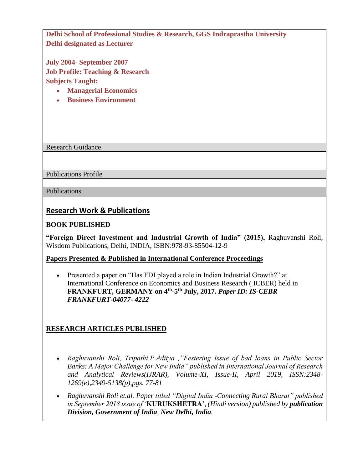**Delhi School of Professional Studies & Research, GGS Indraprastha University Delhi designated as Lecturer**

**July 2004- September 2007 Job Profile: Teaching & Research Subjects Taught:**

- **Managerial Economics**
- **Business Environment**

Research Guidance

Publications Profile

Publications

## **Research Work & Publications**

#### **BOOK PUBLISHED**

**"Foreign Direct Investment and Industrial Growth of India" (2015),** Raghuvanshi Roli, Wisdom Publications, Delhi, INDIA, ISBN:978-93-85504-12-9

#### **Papers Presented & Published in International Conference Proceedings**

• Presented a paper on "Has FDI played a role in Indian Industrial Growth?" at International Conference on Economics and Business Research ( ICBER) held in **FRANKFURT, GERMANY on 4th -5 th July, 2017.** *Paper ID: IS-CEBR FRANKFURT-04077- 4222*

## **RESEARCH ARTICLES PUBLISHED**

- *Raghuvanshi Roli, Tripathi.P.Aditya ,"Festering Issue of bad loans in Public Sector Banks: A Major Challenge for New India" published in International Journal of Research and Analytical Reviews(IJRAR), Volume-XI, Issue-II, April 2019, ISSN:2348- 1269(e),2349-5138(p),pgs. 77-81*
- *Raghuvanshi Roli et.al. Paper titled "Digital India -Connecting Rural Bharat" published in September 2018 issue of '***KURUKSHETRA'***, (Hindi version) published by publication Division, Government of India, New Delhi, India.*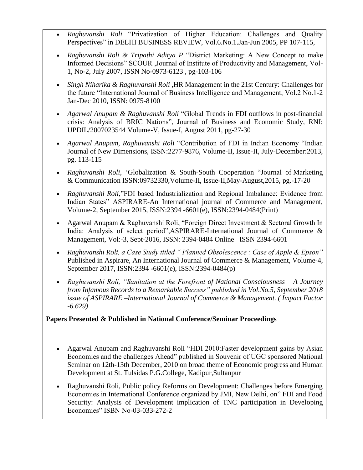- *Raghuvanshi Roli* "Privatization of Higher Education: Challenges and Quality Perspectives" in DELHI BUSINESS REVIEW, Vol.6.No.1.Jan-Jun 2005, PP 107-115,
- *Raghuvanshi Roli & Tripathi Aditya P* "District Marketing: A New Concept to make Informed Decisions" SCOUR ,Journal of Institute of Productivity and Management, Vol-1, No-2, July 2007, ISSN No-0973-6123 , pg-103-106
- *Singh Niharika & Raghuvanshi Roli* ,HR Management in the 21st Century: Challenges for the future "International Journal of Business Intelligence and Management, Vol.2 No.1-2 Jan-Dec 2010, ISSN: 0975-8100
- *Agarwal Anupam & Raghuvanshi Roli* "Global Trends in FDI outflows in post-financial crisis: Analysis of BRIC Nations", Journal of Business and Economic Study, RNI: UPDIL/2007023544 Volume-V, Issue-I, August 2011, pg-27-30
- *Agarwal Anupam, Raghuvanshi Rol*i "Contribution of FDI in Indian Economy "Indian Journal of New Dimensions, ISSN:2277-9876, Volume-II, Issue-II, July-December:2013, pg. 113-115
- *Raghuvanshi Roli*, 'Globalization & South-South Cooperation "Journal of Marketing & Communication ISSN:09732330,Volume-II, Issue-II,May-August,2015, pg.-17-20
- *Raghuvanshi Roli*,"FDI based Industrialization and Regional Imbalance: Evidence from Indian States" ASPIRARE-An International journal of Commerce and Management, Volume-2, September 2015, ISSN:2394 -6601(e), ISSN:2394-0484(Print)
- Agarwal Anupam & Raghuvanshi Roli, "Foreign Direct Investment & Sectoral Growth In India: Analysis of select period",ASPIRARE-International Journal of Commerce & Management, Vol:-3, Sept-2016, ISSN: 2394-0484 Online –ISSN 2394-6601
- *Raghuvanshi Roli, a Case Study titled " Planned Obsolescence : Case of Apple & Epson"*  Published in Aspirare, An International Journal of Commerce & Management, Volume-4, September 2017, ISSN:2394 -6601(e), ISSN:2394-0484(p)
- *Raghuvanshi Roli, "Sanitation at the Forefront of National Consciousness – A Journey from Infamous Records to a Remarkable Success" published in Vol.No.5, September 2018 issue of ASPIRARE –International Journal of Commerce & Management. ( Impact Factor -6.629)*

## **Papers Presented & Published in National Conference/Seminar Proceedings**

- Agarwal Anupam and Raghuvanshi Roli "HDI 2010:Faster development gains by Asian Economies and the challenges Ahead" published in Souvenir of UGC sponsored National Seminar on 12th-13th December, 2010 on broad theme of Economic progress and Human Development at St. Tulsidas P.G.College, Kadipur,Sultanpur
- Raghuvanshi Roli, Public policy Reforms on Development: Challenges before Emerging Economies in International Conference organized by JMI, New Delhi, on" FDI and Food Security: Analysis of Development implication of TNC participation in Developing Economies" ISBN No-03-033-272-2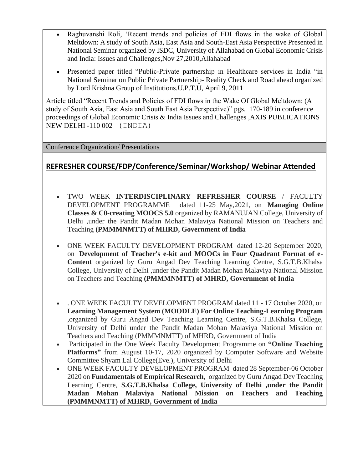- Raghuvanshi Roli, 'Recent trends and policies of FDI flows in the wake of Global Meltdown: A study of South Asia, East Asia and South-East Asia Perspective Presented in National Seminar organized by ISDC, University of Allahabad on Global Economic Crisis and India: Issues and Challenges,Nov 27,2010,Allahabad
- Presented paper titled "Public-Private partnership in Healthcare services in India "in National Seminar on Public Private Partnership- Reality Check and Road ahead organized by Lord Krishna Group of Institutions.U.P.T.U, April 9, 2011

Article titled "Recent Trends and Policies of FDI flows in the Wake Of Global Meltdown: (A study of South Asia, East Asia and South East Asia Perspective)" pgs. 170-189 in conference proceedings of Global Economic Crisis & India Issues and Challenges ,AXIS PUBLICATIONS NEW DELHI -110 002 (INDIA)

Conference Organization/ Presentations

## **REFRESHER COURSE/FDP/Conference/Seminar/Workshop/ Webinar Attended**

- TWO WEEK **INTERDISCIPLINARY REFRESHER COURSE** / FACULTY DEVELOPMENT PROGRAMME dated 11-25 May,2021, on **Managing Online Classes & C0-creating MOOCS 5.0** organized by RAMANUJAN College, University of Delhi ,under the Pandit Madan Mohan Malaviya National Mission on Teachers and Teaching **(PMMMNMTT) of MHRD, Government of India**
- ONE WEEK FACULTY DEVELOPMENT PROGRAM dated 12-20 September 2020, on **Development of Teacher's e-kit and MOOCs in Four Quadrant Format of e-Content** organized by Guru Angad Dev Teaching Learning Centre, S.G.T.B.Khalsa College, University of Delhi ,under the Pandit Madan Mohan Malaviya National Mission on Teachers and Teaching **(PMMMNMTT) of MHRD, Government of India**
- . ONE WEEK FACULTY DEVELOPMENT PROGRAM dated 11 17 October 2020, on **Learning Management System (MOODLE) For Online Teaching-Learning Program** ,organized by Guru Angad Dev Teaching Learning Centre, S.G.T.B.Khalsa College, University of Delhi under the Pandit Madan Mohan Malaviya National Mission on Teachers and Teaching (PMMMNMTT) of MHRD, Government of India
- Participated in the One Week Faculty Development Programme on **"Online Teaching Platforms"** from August 10-17, 2020 organized by Computer Software and Website Committee Shyam Lal College(Eve.), University of Delhi
- ONE WEEK FACULTY DEVELOPMENT PROGRAM dated 28 September-06 October 2020 on **Fundamentals of Empirical Research**, organized by Guru Angad Dev Teaching Learning Centre, **S.G.T.B.Khalsa College, University of Delhi ,under the Pandit Madan Mohan Malaviya National Mission on Teachers and Teaching (PMMMNMTT) of MHRD, Government of India**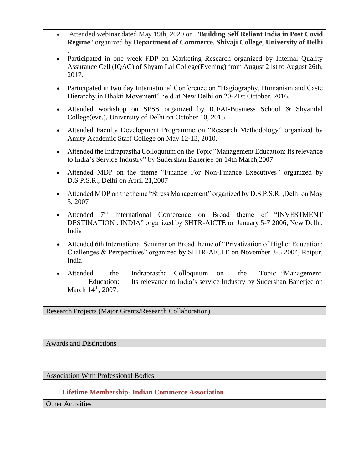- Attended webinar dated May 19th, 2020 on "**Building Self Reliant India in Post Covid Regime**" organized by **Department of Commerce, Shivaji College, University of Delhi**
- . • Participated in one week FDP on Marketing Research organized by Internal Quality Assurance Cell (IQAC) of Shyam Lal College(Evening) from August 21st to August 26th, 2017.
- Participated in two day International Conference on "Hagiography, Humanism and Caste Hierarchy in Bhakti Movement" held at New Delhi on 20-21st October, 2016.
- Attended workshop on SPSS organized by ICFAI-Business School & Shyamlal College(eve.), University of Delhi on October 10, 2015
- Attended Faculty Development Programme on "Research Methodology" organized by Amity Academic Staff College on May 12-13, 2010.
- Attended the Indraprastha Colloquium on the Topic "Management Education: Its relevance to India's Service Industry" by Sudershan Banerjee on 14th March,2007
- Attended MDP on the theme "Finance For Non-Finance Executives" organized by D.S.P.S.R., Delhi on April 21,2007
- Attended MDP on the theme "Stress Management" organized by D.S.P.S.R. ,Delhi on May 5, 2007
- Attended 7<sup>th</sup> International Conference on Broad theme of "INVESTMENT DESTINATION : INDIA" organized by SHTR-AICTE on January 5-7 2006, New Delhi, India
- Attended 6th International Seminar on Broad theme of "Privatization of Higher Education: Challenges & Perspectives" organized by SHTR-AICTE on November 3-5 2004, Raipur, India
- Attended the Indraprastha Colloquium on the Topic "Management Education: Its relevance to India's service Industry by Sudershan Banerjee on March  $14^{\text{th}}$ , 2007.

Research Projects (Major Grants/Research Collaboration)

Awards and Distinctions

Association With Professional Bodies

 **Lifetime Membership- Indian Commerce Association**

Other Activities